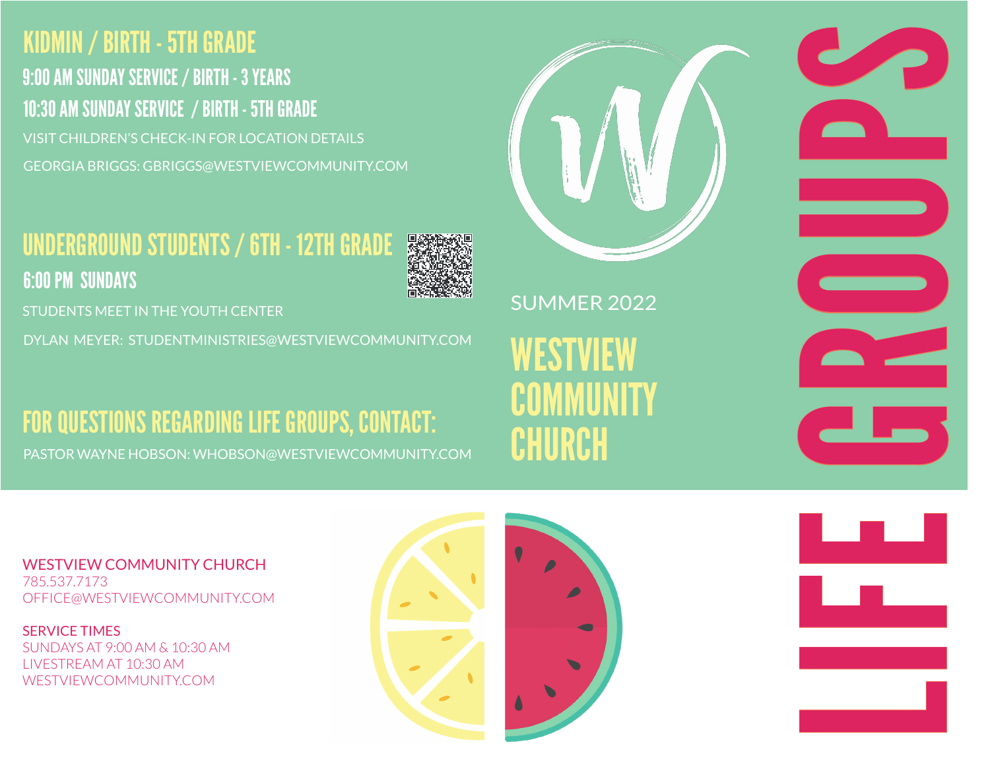## KIDMIN / BIRTH - 5TH GRADE 10:30 AM SUNDAY SERVICE / BIRTH - 5TH GRADE VISIT CHILDREN'S CHECK-IN FOR LOCATION DETAILS 9:00 AM SUNDAY SERVICE / BIRTH - 3 YEARS GEORGIA BRIGGS: GBRIGGS@WESTVIEWCOMMUNITY.COM

## UNDERGROUND STUDENTS / 6TH - 12TH GRADE 6:00 PM SUNDAYS



STUDENTS MEET IN THE YOUTH CENTER

DYLAN MEYER: STUDENTMINISTRIES@WESTVIEWCOMMUNITY.COM

# FOR QUESTIONS REGARDING LIFE GROUPS, CONTACT:

PASTOR WAYNE HOBSON: WHOBSON@WESTVIEWCOMMUNITY.COM

WESTVIEW COMMUNITY CHURCH SUMMER 2022 **LIFE GROUPS** 

WESTVIEW COMMUNITY CHURCH 785.537.7173 OFFICE@WESTVIEWCOMMUNITY.COM

SERVICE TIMES SUNDAYS AT 9:00 AM & 10:30 AM LIVESTREAM AT 10:30 AM WESTVIEWCOMMUNITY.COM